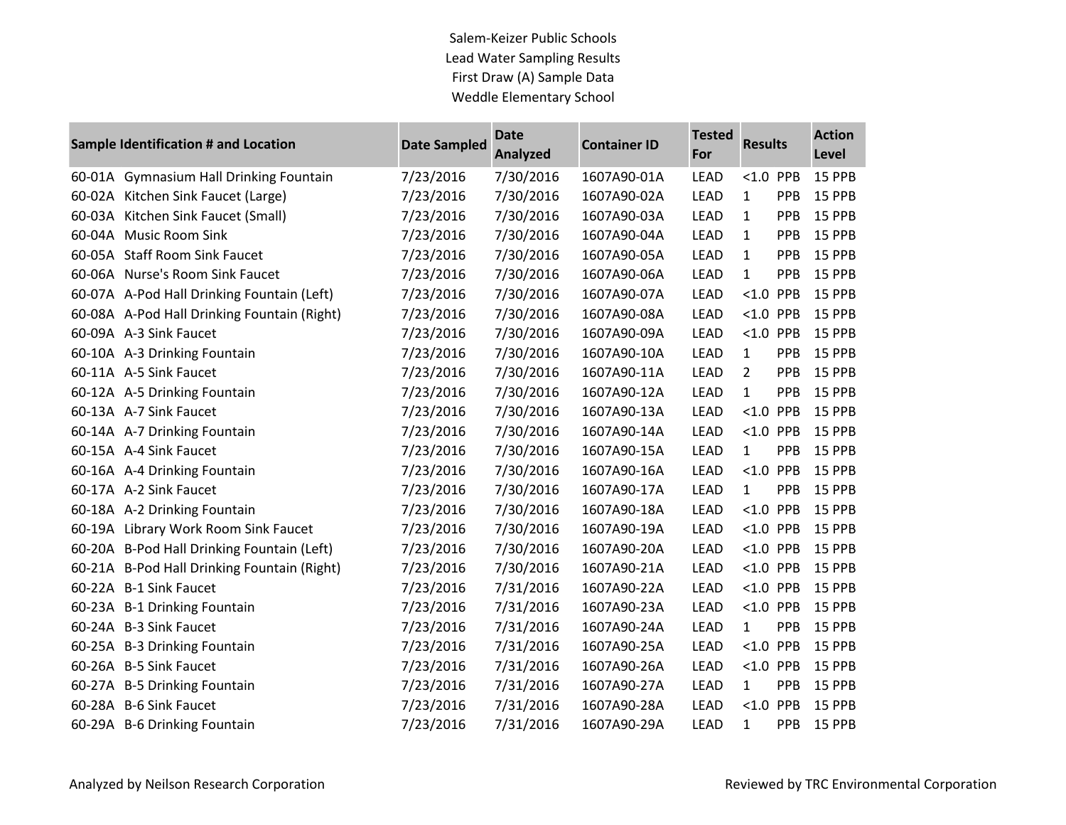Salem-Keizer Public Schools Lead Water Sampling Results First Draw (A) Sample Data Weddle Elementary School

| Sample Identification # and Location |                                             | <b>Date Sampled</b> | <b>Date</b><br><b>Analyzed</b> | <b>Container ID</b> | <b>Tested</b><br>For | <b>Results</b> |     | <b>Action</b><br>Level |
|--------------------------------------|---------------------------------------------|---------------------|--------------------------------|---------------------|----------------------|----------------|-----|------------------------|
|                                      | 60-01A Gymnasium Hall Drinking Fountain     | 7/23/2016           | 7/30/2016                      | 1607A90-01A         | <b>LEAD</b>          | $< 1.0$ PPB    |     | 15 PPB                 |
|                                      | 60-02A Kitchen Sink Faucet (Large)          | 7/23/2016           | 7/30/2016                      | 1607A90-02A         | <b>LEAD</b>          | $\mathbf{1}$   | PPB | 15 PPB                 |
|                                      | 60-03A Kitchen Sink Faucet (Small)          | 7/23/2016           | 7/30/2016                      | 1607A90-03A         | <b>LEAD</b>          | 1              | PPB | 15 PPB                 |
|                                      | 60-04A Music Room Sink                      | 7/23/2016           | 7/30/2016                      | 1607A90-04A         | <b>LEAD</b>          | $\mathbf{1}$   | PPB | 15 PPB                 |
|                                      | 60-05A Staff Room Sink Faucet               | 7/23/2016           | 7/30/2016                      | 1607A90-05A         | <b>LEAD</b>          | 1              | PPB | 15 PPB                 |
|                                      | 60-06A Nurse's Room Sink Faucet             | 7/23/2016           | 7/30/2016                      | 1607A90-06A         | <b>LEAD</b>          | $\mathbf{1}$   | PPB | 15 PPB                 |
|                                      | 60-07A A-Pod Hall Drinking Fountain (Left)  | 7/23/2016           | 7/30/2016                      | 1607A90-07A         | <b>LEAD</b>          | $< 1.0$ PPB    |     | 15 PPB                 |
|                                      | 60-08A A-Pod Hall Drinking Fountain (Right) | 7/23/2016           | 7/30/2016                      | 1607A90-08A         | <b>LEAD</b>          | $< 1.0$ PPB    |     | 15 PPB                 |
|                                      | 60-09A A-3 Sink Faucet                      | 7/23/2016           | 7/30/2016                      | 1607A90-09A         | <b>LEAD</b>          | $< 1.0$ PPB    |     | 15 PPB                 |
|                                      | 60-10A A-3 Drinking Fountain                | 7/23/2016           | 7/30/2016                      | 1607A90-10A         | <b>LEAD</b>          | $\mathbf{1}$   | PPB | 15 PPB                 |
|                                      | 60-11A A-5 Sink Faucet                      | 7/23/2016           | 7/30/2016                      | 1607A90-11A         | LEAD                 | $2^{\circ}$    | PPB | 15 PPB                 |
|                                      | 60-12A A-5 Drinking Fountain                | 7/23/2016           | 7/30/2016                      | 1607A90-12A         | <b>LEAD</b>          | $\mathbf{1}$   | PPB | 15 PPB                 |
|                                      | 60-13A A-7 Sink Faucet                      | 7/23/2016           | 7/30/2016                      | 1607A90-13A         | <b>LEAD</b>          | $< 1.0$ PPB    |     | 15 PPB                 |
|                                      | 60-14A A-7 Drinking Fountain                | 7/23/2016           | 7/30/2016                      | 1607A90-14A         | <b>LEAD</b>          | $< 1.0$ PPB    |     | 15 PPB                 |
|                                      | 60-15A A-4 Sink Faucet                      | 7/23/2016           | 7/30/2016                      | 1607A90-15A         | <b>LEAD</b>          | $\mathbf{1}$   | PPB | 15 PPB                 |
|                                      | 60-16A A-4 Drinking Fountain                | 7/23/2016           | 7/30/2016                      | 1607A90-16A         | <b>LEAD</b>          | $< 1.0$ PPB    |     | 15 PPB                 |
|                                      | 60-17A A-2 Sink Faucet                      | 7/23/2016           | 7/30/2016                      | 1607A90-17A         | LEAD                 | $\mathbf{1}$   | PPB | 15 PPB                 |
|                                      | 60-18A A-2 Drinking Fountain                | 7/23/2016           | 7/30/2016                      | 1607A90-18A         | <b>LEAD</b>          | $< 1.0$ PPB    |     | 15 PPB                 |
|                                      | 60-19A Library Work Room Sink Faucet        | 7/23/2016           | 7/30/2016                      | 1607A90-19A         | <b>LEAD</b>          | $< 1.0$ PPB    |     | 15 PPB                 |
|                                      | 60-20A B-Pod Hall Drinking Fountain (Left)  | 7/23/2016           | 7/30/2016                      | 1607A90-20A         | <b>LEAD</b>          | $< 1.0$ PPB    |     | 15 PPB                 |
|                                      | 60-21A B-Pod Hall Drinking Fountain (Right) | 7/23/2016           | 7/30/2016                      | 1607A90-21A         | <b>LEAD</b>          | $< 1.0$ PPB    |     | 15 PPB                 |
|                                      | 60-22A B-1 Sink Faucet                      | 7/23/2016           | 7/31/2016                      | 1607A90-22A         | <b>LEAD</b>          | $< 1.0$ PPB    |     | 15 PPB                 |
|                                      | 60-23A B-1 Drinking Fountain                | 7/23/2016           | 7/31/2016                      | 1607A90-23A         | LEAD                 | $< 1.0$ PPB    |     | 15 PPB                 |
|                                      | 60-24A B-3 Sink Faucet                      | 7/23/2016           | 7/31/2016                      | 1607A90-24A         | <b>LEAD</b>          | $\mathbf{1}$   | PPB | 15 PPB                 |
|                                      | 60-25A B-3 Drinking Fountain                | 7/23/2016           | 7/31/2016                      | 1607A90-25A         | <b>LEAD</b>          | $< 1.0$ PPB    |     | 15 PPB                 |
|                                      | 60-26A B-5 Sink Faucet                      | 7/23/2016           | 7/31/2016                      | 1607A90-26A         | <b>LEAD</b>          | $< 1.0$ PPB    |     | 15 PPB                 |
|                                      | 60-27A B-5 Drinking Fountain                | 7/23/2016           | 7/31/2016                      | 1607A90-27A         | <b>LEAD</b>          | $\mathbf{1}$   | PPB | 15 PPB                 |
|                                      | 60-28A B-6 Sink Faucet                      | 7/23/2016           | 7/31/2016                      | 1607A90-28A         | <b>LEAD</b>          | $< 1.0$ PPB    |     | 15 PPB                 |
|                                      | 60-29A B-6 Drinking Fountain                | 7/23/2016           | 7/31/2016                      | 1607A90-29A         | <b>LEAD</b>          | $\mathbf{1}$   | PPB | 15 PPB                 |